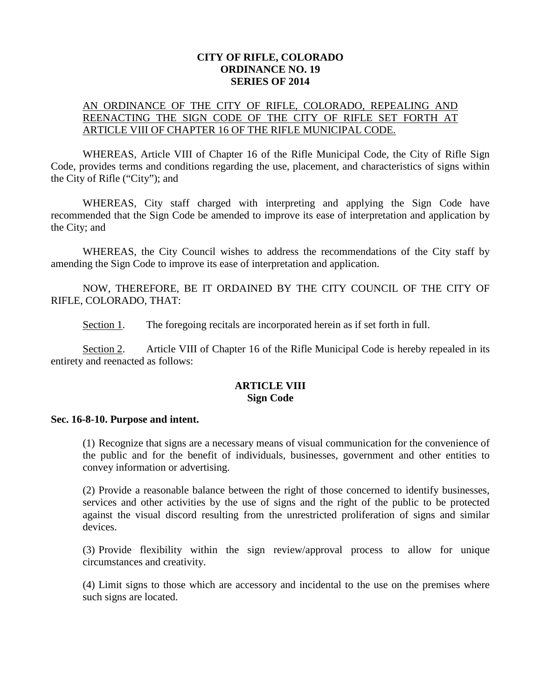### **CITY OF RIFLE, COLORADO ORDINANCE NO. 19 SERIES OF 2014**

# AN ORDINANCE OF THE CITY OF RIFLE, COLORADO, REPEALING AND REENACTING THE SIGN CODE OF THE CITY OF RIFLE SET FORTH AT ARTICLE VIII OF CHAPTER 16 OF THE RIFLE MUNICIPAL CODE.

WHEREAS, Article VIII of Chapter 16 of the Rifle Municipal Code, the City of Rifle Sign Code, provides terms and conditions regarding the use, placement, and characteristics of signs within the City of Rifle ("City"); and

WHEREAS, City staff charged with interpreting and applying the Sign Code have recommended that the Sign Code be amended to improve its ease of interpretation and application by the City; and

WHEREAS, the City Council wishes to address the recommendations of the City staff by amending the Sign Code to improve its ease of interpretation and application.

NOW, THEREFORE, BE IT ORDAINED BY THE CITY COUNCIL OF THE CITY OF RIFLE, COLORADO, THAT:

Section 1. The foregoing recitals are incorporated herein as if set forth in full.

Section 2. Article VIII of Chapter 16 of the Rifle Municipal Code is hereby repealed in its entirety and reenacted as follows:

## **ARTICLE VIII Sign Code**

#### **Sec. 16-8-10. Purpose and intent.**

(1) Recognize that signs are a necessary means of visual communication for the convenience of the public and for the benefit of individuals, businesses, government and other entities to convey information or advertising.

(2) Provide a reasonable balance between the right of those concerned to identify businesses, services and other activities by the use of signs and the right of the public to be protected against the visual discord resulting from the unrestricted proliferation of signs and similar devices.

(3) Provide flexibility within the sign review/approval process to allow for unique circumstances and creativity.

(4) Limit signs to those which are accessory and incidental to the use on the premises where such signs are located.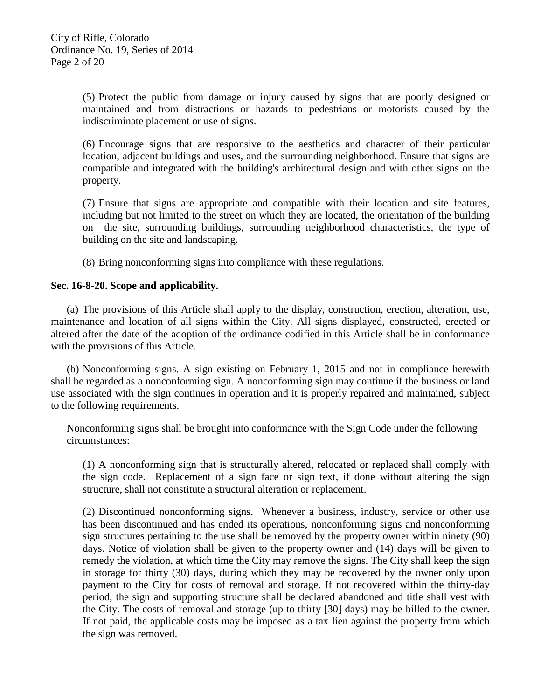(5) Protect the public from damage or injury caused by signs that are poorly designed or maintained and from distractions or hazards to pedestrians or motorists caused by the indiscriminate placement or use of signs.

(6) Encourage signs that are responsive to the aesthetics and character of their particular location, adjacent buildings and uses, and the surrounding neighborhood. Ensure that signs are compatible and integrated with the building's architectural design and with other signs on the property.

(7) Ensure that signs are appropriate and compatible with their location and site features, including but not limited to the street on which they are located, the orientation of the building on the site, surrounding buildings, surrounding neighborhood characteristics, the type of building on the site and landscaping.

(8) Bring nonconforming signs into compliance with these regulations.

### **Sec. 16-8-20. Scope and applicability.**

(a) The provisions of this Article shall apply to the display, construction, erection, alteration, use, maintenance and location of all signs within the City. All signs displayed, constructed, erected or altered after the date of the adoption of the ordinance codified in this Article shall be in conformance with the provisions of this Article.

(b) Nonconforming signs. A sign existing on February 1, 2015 and not in compliance herewith shall be regarded as a nonconforming sign. A nonconforming sign may continue if the business or land use associated with the sign continues in operation and it is properly repaired and maintained, subject to the following requirements.

Nonconforming signs shall be brought into conformance with the Sign Code under the following circumstances:

(1) A nonconforming sign that is structurally altered, relocated or replaced shall comply with the sign code. Replacement of a sign face or sign text, if done without altering the sign structure, shall not constitute a structural alteration or replacement.

(2) Discontinued nonconforming signs. Whenever a business, industry, service or other use has been discontinued and has ended its operations, nonconforming signs and nonconforming sign structures pertaining to the use shall be removed by the property owner within ninety (90) days. Notice of violation shall be given to the property owner and (14) days will be given to remedy the violation, at which time the City may remove the signs. The City shall keep the sign in storage for thirty (30) days, during which they may be recovered by the owner only upon payment to the City for costs of removal and storage. If not recovered within the thirty-day period, the sign and supporting structure shall be declared abandoned and title shall vest with the City. The costs of removal and storage (up to thirty [30] days) may be billed to the owner. If not paid, the applicable costs may be imposed as a tax lien against the property from which the sign was removed.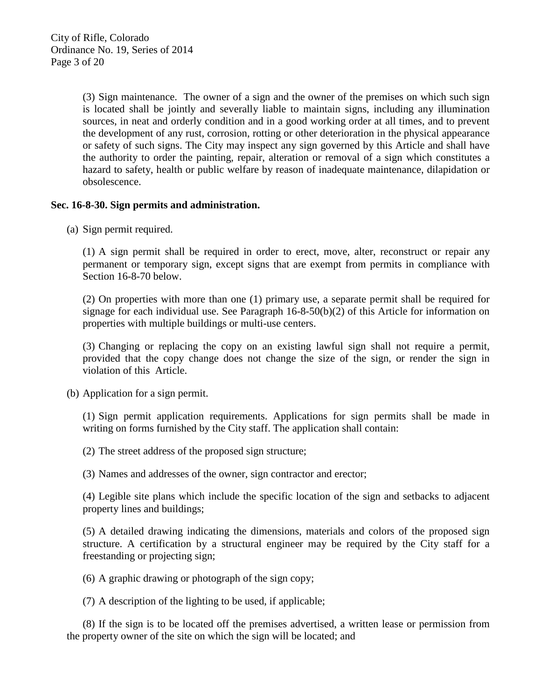(3) Sign maintenance. The owner of a sign and the owner of the premises on which such sign is located shall be jointly and severally liable to maintain signs, including any illumination sources, in neat and orderly condition and in a good working order at all times, and to prevent the development of any rust, corrosion, rotting or other deterioration in the physical appearance or safety of such signs. The City may inspect any sign governed by this Article and shall have the authority to order the painting, repair, alteration or removal of a sign which constitutes a hazard to safety, health or public welfare by reason of inadequate maintenance, dilapidation or obsolescence.

# **Sec. 16-8-30. Sign permits and administration.**

(a) Sign permit required.

(1) A sign permit shall be required in order to erect, move, alter, reconstruct or repair any permanent or temporary sign, except signs that are exempt from permits in compliance with Section 16-8-70 below.

(2) On properties with more than one (1) primary use, a separate permit shall be required for signage for each individual use. See Paragraph 16-8-50(b)(2) of this Article for information on properties with multiple buildings or multi-use centers.

(3) Changing or replacing the copy on an existing lawful sign shall not require a permit, provided that the copy change does not change the size of the sign, or render the sign in violation of this Article.

(b) Application for a sign permit.

(1) Sign permit application requirements. Applications for sign permits shall be made in writing on forms furnished by the City staff. The application shall contain:

(2) The street address of the proposed sign structure;

(3) Names and addresses of the owner, sign contractor and erector;

(4) Legible site plans which include the specific location of the sign and setbacks to adjacent property lines and buildings;

(5) A detailed drawing indicating the dimensions, materials and colors of the proposed sign structure. A certification by a structural engineer may be required by the City staff for a freestanding or projecting sign;

(6) A graphic drawing or photograph of the sign copy;

(7) A description of the lighting to be used, if applicable;

(8) If the sign is to be located off the premises advertised, a written lease or permission from the property owner of the site on which the sign will be located; and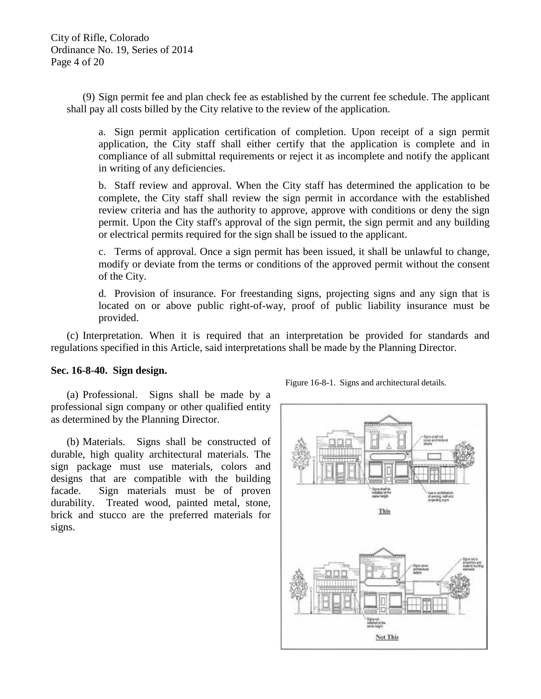(9) Sign permit fee and plan check fee as established by the current fee schedule. The applicant shall pay all costs billed by the City relative to the review of the application.

a. Sign permit application certification of completion. Upon receipt of a sign permit application, the City staff shall either certify that the application is complete and in compliance of all submittal requirements or reject it as incomplete and notify the applicant in writing of any deficiencies.

b. Staff review and approval. When the City staff has determined the application to be complete, the City staff shall review the sign permit in accordance with the established review criteria and has the authority to approve, approve with conditions or deny the sign permit. Upon the City staff's approval of the sign permit, the sign permit and any building or electrical permits required for the sign shall be issued to the applicant.

c. Terms of approval. Once a sign permit has been issued, it shall be unlawful to change, modify or deviate from the terms or conditions of the approved permit without the consent of the City.

d. Provision of insurance. For freestanding signs, projecting signs and any sign that is located on or above public right-of-way, proof of public liability insurance must be provided.

(c) Interpretation. When it is required that an interpretation be provided for standards and regulations specified in this Article, said interpretations shall be made by the Planning Director.

## **Sec. 16-8-40. Sign design.**

(a) Professional. Signs shall be made by a professional sign company or other qualified entity as determined by the Planning Director.

(b) Materials. Signs shall be constructed of durable, high quality architectural materials. The sign package must use materials, colors and designs that are compatible with the building facade. Sign materials must be of proven durability. Treated wood, painted metal, stone, brick and stucco are the preferred materials for signs.



Figure 16-8-1. Signs and architectural details.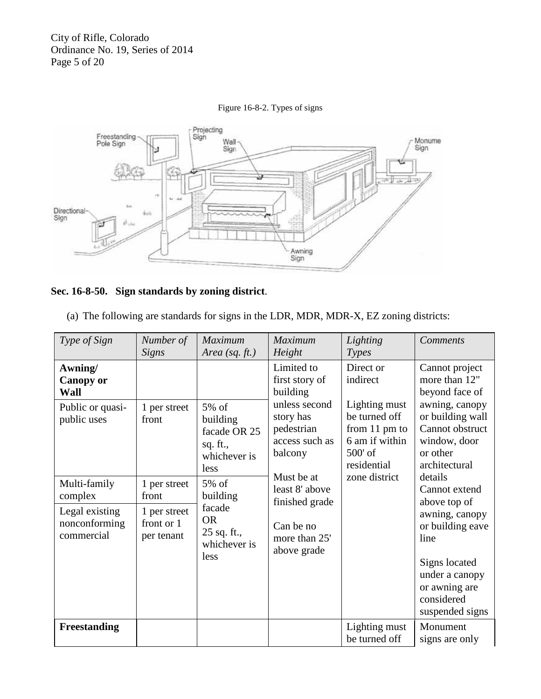City of Rifle, Colorado Ordinance No. 19, Series of 2014 Page 5 of 20



## Figure 16-8-2. Types of signs

# **Sec. 16-8-50. Sign standards by zoning district**.

| (a) The following are standards for signs in the LDR, MDR, MDR-X, EZ zoning districts: |  |  |
|----------------------------------------------------------------------------------------|--|--|
|                                                                                        |  |  |

| Type of Sign                                                             | Number of<br>Signs                                                | Maximum<br>Area (sq. $ft.$ )                                                    | <b>Maximum</b><br>Height                                                                                                                                             | Lighting<br>Types                                                                                              | <b>Comments</b>                                                                                                                                                                                                                                                |
|--------------------------------------------------------------------------|-------------------------------------------------------------------|---------------------------------------------------------------------------------|----------------------------------------------------------------------------------------------------------------------------------------------------------------------|----------------------------------------------------------------------------------------------------------------|----------------------------------------------------------------------------------------------------------------------------------------------------------------------------------------------------------------------------------------------------------------|
| Awning/<br><b>Canopy or</b><br>Wall                                      |                                                                   |                                                                                 | Limited to<br>first story of<br>building                                                                                                                             | Direct or<br>indirect                                                                                          | Cannot project<br>more than 12"<br>beyond face of                                                                                                                                                                                                              |
| Public or quasi-<br>public uses                                          | 1 per street<br>front                                             | 5% of<br>building<br>facade OR 25<br>sq. ft.,<br>whichever is<br>less           | unless second<br>story has<br>pedestrian<br>access such as<br>balcony<br>Must be at<br>least 8' above<br>finished grade<br>Can be no<br>more than 25'<br>above grade | Lighting must<br>be turned off<br>from 11 pm to<br>6 am if within<br>$500'$ of<br>residential<br>zone district | awning, canopy<br>or building wall<br>Cannot obstruct<br>window, door<br>or other<br>architectural<br>details<br>Cannot extend<br>above top of<br>awning, canopy<br>or building eave<br>line<br>Signs located<br>under a canopy<br>or awning are<br>considered |
| Multi-family<br>complex<br>Legal existing<br>nonconforming<br>commercial | 1 per street<br>front<br>1 per street<br>front or 1<br>per tenant | 5% of<br>building<br>facade<br><b>OR</b><br>25 sq. ft.,<br>whichever is<br>less |                                                                                                                                                                      |                                                                                                                |                                                                                                                                                                                                                                                                |
| <b>Freestanding</b>                                                      |                                                                   |                                                                                 |                                                                                                                                                                      | Lighting must<br>be turned off                                                                                 | suspended signs<br>Monument<br>signs are only                                                                                                                                                                                                                  |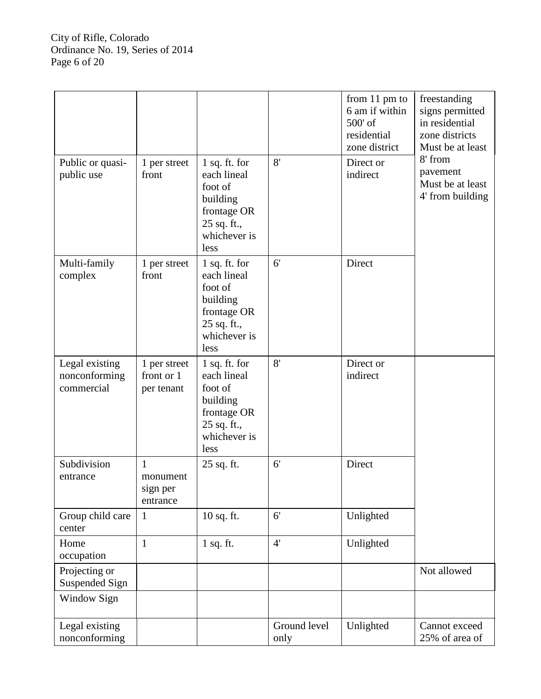|                                               |                                                  |                                                                                                             |                      | from 11 pm to<br>6 am if within<br>500' of<br>residential<br>zone district | freestanding<br>signs permitted<br>in residential<br>zone districts<br>Must be at least |
|-----------------------------------------------|--------------------------------------------------|-------------------------------------------------------------------------------------------------------------|----------------------|----------------------------------------------------------------------------|-----------------------------------------------------------------------------------------|
| Public or quasi-<br>public use                | 1 per street<br>front                            | $1$ sq. ft. for<br>each lineal<br>foot of<br>building<br>frontage OR<br>25 sq. ft.,<br>whichever is<br>less | 8'                   | Direct or<br>indirect                                                      | 8' from<br>pavement<br>Must be at least<br>4' from building                             |
| Multi-family<br>complex                       | 1 per street<br>front                            | $1$ sq. ft. for<br>each lineal<br>foot of<br>building<br>frontage OR<br>25 sq. ft.,<br>whichever is<br>less | 6'                   | Direct                                                                     |                                                                                         |
| Legal existing<br>nonconforming<br>commercial | 1 per street<br>front or 1<br>per tenant         | 1 sq. ft. for<br>each lineal<br>foot of<br>building<br>frontage OR<br>25 sq. ft.,<br>whichever is<br>less   | 8'                   | Direct or<br>indirect                                                      |                                                                                         |
| Subdivision<br>entrance                       | $\mathbf{1}$<br>monument<br>sign per<br>entrance | 25 sq. ft.                                                                                                  | 6 <sup>′</sup>       | Direct                                                                     |                                                                                         |
| Group child care<br>center                    | 1                                                | 10 sq. ft.                                                                                                  | 6'                   | Unlighted                                                                  |                                                                                         |
| Home<br>occupation                            | $\mathbf{1}$                                     | $1$ sq. ft.                                                                                                 | 4'                   | Unlighted                                                                  |                                                                                         |
| Projecting or<br>Suspended Sign               |                                                  |                                                                                                             |                      |                                                                            | Not allowed                                                                             |
| Window Sign                                   |                                                  |                                                                                                             |                      |                                                                            |                                                                                         |
| Legal existing<br>nonconforming               |                                                  |                                                                                                             | Ground level<br>only | Unlighted                                                                  | Cannot exceed<br>25% of area of                                                         |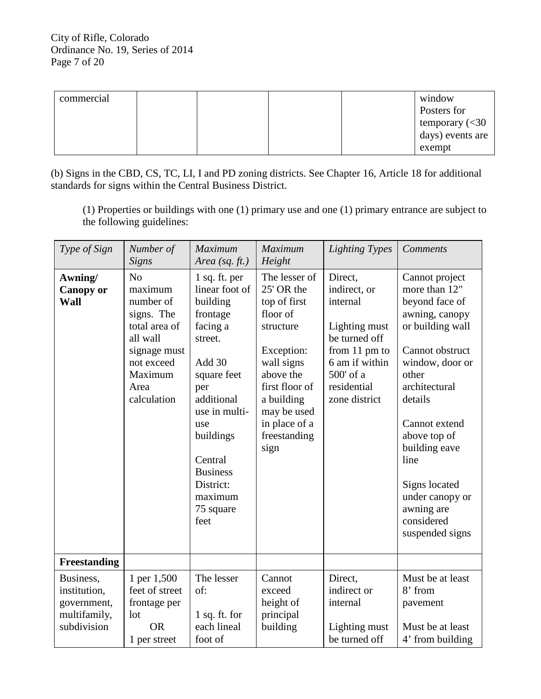| commercial |  |  | window                                    |
|------------|--|--|-------------------------------------------|
|            |  |  | Posters for                               |
|            |  |  | temporary $\left( < \frac{30}{2} \right)$ |
|            |  |  | $\frac{1}{2}$ days) events are            |
|            |  |  | exempt                                    |

(b) Signs in the CBD, CS, TC, LI, I and PD zoning districts. See Chapter 16, Article 18 for additional standards for signs within the Central Business District.

(1) Properties or buildings with one (1) primary use and one (1) primary entrance are subject to the following guidelines:

| Type of Sign                                                            | Number of<br>Signs                                                                                                                                | Maximum<br>Area (sq. $ft.$ )                                                                                                                                                                                                                 | Maximum<br>Height                                                                                                                                                                                     | <b>Lighting Types</b>                                                                                                                                   | <b>Comments</b>                                                                                                                                                                                                                                                                                                 |
|-------------------------------------------------------------------------|---------------------------------------------------------------------------------------------------------------------------------------------------|----------------------------------------------------------------------------------------------------------------------------------------------------------------------------------------------------------------------------------------------|-------------------------------------------------------------------------------------------------------------------------------------------------------------------------------------------------------|---------------------------------------------------------------------------------------------------------------------------------------------------------|-----------------------------------------------------------------------------------------------------------------------------------------------------------------------------------------------------------------------------------------------------------------------------------------------------------------|
| Awning/<br><b>Canopy or</b><br><b>Wall</b>                              | N <sub>o</sub><br>maximum<br>number of<br>signs. The<br>total area of<br>all wall<br>signage must<br>not exceed<br>Maximum<br>Area<br>calculation | 1 sq. ft. per<br>linear foot of<br>building<br>frontage<br>facing a<br>street.<br>Add 30<br>square feet<br>per<br>additional<br>use in multi-<br>use<br>buildings<br>Central<br><b>Business</b><br>District:<br>maximum<br>75 square<br>feet | The lesser of<br>25' OR the<br>top of first<br>floor of<br>structure<br>Exception:<br>wall signs<br>above the<br>first floor of<br>a building<br>may be used<br>in place of a<br>freestanding<br>sign | Direct,<br>indirect, or<br>internal<br>Lighting must<br>be turned off<br>from $11$ pm to<br>6 am if within<br>500' of a<br>residential<br>zone district | Cannot project<br>more than 12"<br>beyond face of<br>awning, canopy<br>or building wall<br>Cannot obstruct<br>window, door or<br>other<br>architectural<br>details<br>Cannot extend<br>above top of<br>building eave<br>line<br>Signs located<br>under canopy or<br>awning are<br>considered<br>suspended signs |
| <b>Freestanding</b>                                                     |                                                                                                                                                   |                                                                                                                                                                                                                                              |                                                                                                                                                                                                       |                                                                                                                                                         |                                                                                                                                                                                                                                                                                                                 |
| Business,<br>institution,<br>government,<br>multifamily,<br>subdivision | 1 per 1,500<br>feet of street<br>frontage per<br>lot<br><b>OR</b><br>1 per street                                                                 | The lesser<br>of:<br>$1$ sq. ft. for<br>each lineal<br>foot of                                                                                                                                                                               | Cannot<br>exceed<br>height of<br>principal<br>building                                                                                                                                                | Direct,<br>indirect or<br>internal<br>Lighting must<br>be turned off                                                                                    | Must be at least<br>8' from<br>pavement<br>Must be at least<br>4' from building                                                                                                                                                                                                                                 |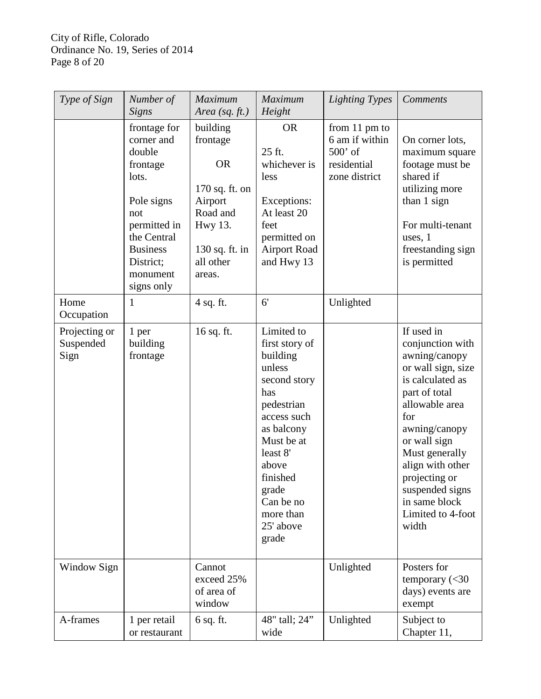City of Rifle, Colorado Ordinance No. 19, Series of 2014 Page 8 of 20

| Type of Sign                       | Number of<br><b>Signs</b>                                                                                                                                               | Maximum<br>Area $(sq. ft.)$                                                                                                           | Maximum<br>Height                                                                                                                                                                                                            | <b>Lighting Types</b>                                                                  | Comments                                                                                                                                                                                                                                                                                      |
|------------------------------------|-------------------------------------------------------------------------------------------------------------------------------------------------------------------------|---------------------------------------------------------------------------------------------------------------------------------------|------------------------------------------------------------------------------------------------------------------------------------------------------------------------------------------------------------------------------|----------------------------------------------------------------------------------------|-----------------------------------------------------------------------------------------------------------------------------------------------------------------------------------------------------------------------------------------------------------------------------------------------|
|                                    | frontage for<br>corner and<br>double<br>frontage<br>lots.<br>Pole signs<br>not<br>permitted in<br>the Central<br><b>Business</b><br>District;<br>monument<br>signs only | building<br>frontage<br><b>OR</b><br>170 sq. ft. on<br>Airport<br>Road and<br><b>Hwy 13.</b><br>130 sq. ft. in<br>all other<br>areas. | <b>OR</b><br>25 ft.<br>whichever is<br>less<br>Exceptions:<br>At least 20<br>feet<br>permitted on<br><b>Airport Road</b><br>and Hwy 13                                                                                       | from $11 \text{ pm}$ to<br>6 am if within<br>$500'$ of<br>residential<br>zone district | On corner lots,<br>maximum square<br>footage must be<br>shared if<br>utilizing more<br>than 1 sign<br>For multi-tenant<br>uses, 1<br>freestanding sign<br>is permitted                                                                                                                        |
| Home<br>Occupation                 | $\mathbf{1}$                                                                                                                                                            | 4 sq. ft.                                                                                                                             | 6'                                                                                                                                                                                                                           | Unlighted                                                                              |                                                                                                                                                                                                                                                                                               |
| Projecting or<br>Suspended<br>Sign | 1 per<br>building<br>frontage                                                                                                                                           | 16 sq. ft.                                                                                                                            | Limited to<br>first story of<br>building<br>unless<br>second story<br>has<br>pedestrian<br>access such<br>as balcony<br>Must be at<br>least 8'<br>above<br>finished<br>grade<br>Can be no<br>more than<br>25' above<br>grade |                                                                                        | If used in<br>conjunction with<br>awning/canopy<br>or wall sign, size<br>is calculated as<br>part of total<br>allowable area<br>for<br>awning/canopy<br>or wall sign<br>Must generally<br>align with other<br>projecting or<br>suspended signs<br>in same block<br>Limited to 4-foot<br>width |
| Window Sign                        |                                                                                                                                                                         | Cannot<br>exceed 25%<br>of area of<br>window                                                                                          |                                                                                                                                                                                                                              | Unlighted                                                                              | Posters for<br>temporary $\left( < 30 \right)$<br>days) events are<br>exempt                                                                                                                                                                                                                  |
| A-frames                           | 1 per retail<br>or restaurant                                                                                                                                           | $6$ sq. ft.                                                                                                                           | 48" tall; 24"<br>wide                                                                                                                                                                                                        | Unlighted                                                                              | Subject to<br>Chapter 11,                                                                                                                                                                                                                                                                     |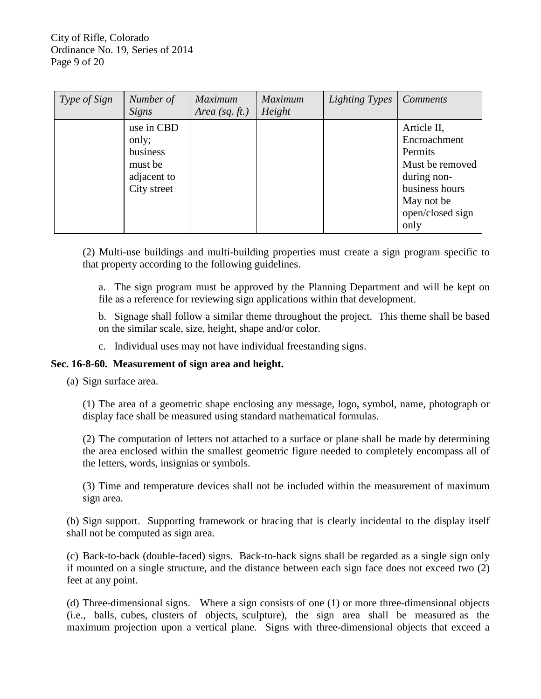| Type of Sign | Number of<br>Signs                                                       | <b>Maximum</b><br>Area (sq. $ft.$ ) | <b>Maximum</b><br>Height | <b>Lighting Types</b> | <b>Comments</b>                                                                                                                      |
|--------------|--------------------------------------------------------------------------|-------------------------------------|--------------------------|-----------------------|--------------------------------------------------------------------------------------------------------------------------------------|
|              | use in CBD<br>only;<br>business<br>must be<br>adjacent to<br>City street |                                     |                          |                       | Article II,<br>Encroachment<br>Permits<br>Must be removed<br>during non-<br>business hours<br>May not be<br>open/closed sign<br>only |

(2) Multi-use buildings and multi-building properties must create a sign program specific to that property according to the following guidelines.

a. The sign program must be approved by the Planning Department and will be kept on file as a reference for reviewing sign applications within that development.

b. Signage shall follow a similar theme throughout the project. This theme shall be based on the similar scale, size, height, shape and/or color.

c. Individual uses may not have individual freestanding signs.

## **Sec. 16-8-60. Measurement of sign area and height.**

(a) Sign surface area.

(1) The area of a geometric shape enclosing any message, logo, symbol, name, photograph or display face shall be measured using standard mathematical formulas.

(2) The computation of letters not attached to a surface or plane shall be made by determining the area enclosed within the smallest geometric figure needed to completely encompass all of the letters, words, insignias or symbols.

(3) Time and temperature devices shall not be included within the measurement of maximum sign area.

(b) Sign support. Supporting framework or bracing that is clearly incidental to the display itself shall not be computed as sign area.

(c) Back-to-back (double-faced) signs. Back-to-back signs shall be regarded as a single sign only if mounted on a single structure, and the distance between each sign face does not exceed two (2) feet at any point.

(d) Three-dimensional signs. Where a sign consists of one (1) or more three-dimensional objects (i.e., balls, cubes, clusters of objects, sculpture), the sign area shall be measured as the maximum projection upon a vertical plane. Signs with three-dimensional objects that exceed a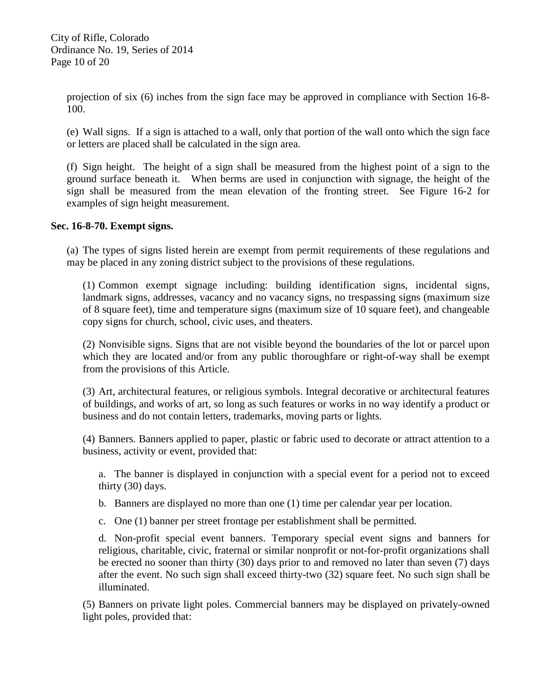projection of six (6) inches from the sign face may be approved in compliance with Section 16-8- 100.

(e) Wall signs. If a sign is attached to a wall, only that portion of the wall onto which the sign face or letters are placed shall be calculated in the sign area.

(f) Sign height. The height of a sign shall be measured from the highest point of a sign to the ground surface beneath it. When berms are used in conjunction with signage, the height of the sign shall be measured from the mean elevation of the fronting street. See Figure 16-2 for examples of sign height measurement.

# **Sec. 16-8-70. Exempt signs.**

(a) The types of signs listed herein are exempt from permit requirements of these regulations and may be placed in any zoning district subject to the provisions of these regulations.

(1) Common exempt signage including: building identification signs, incidental signs, landmark signs, addresses, vacancy and no vacancy signs, no trespassing signs (maximum size of 8 square feet), time and temperature signs (maximum size of 10 square feet), and changeable copy signs for church, school, civic uses, and theaters.

(2) Nonvisible signs. Signs that are not visible beyond the boundaries of the lot or parcel upon which they are located and/or from any public thoroughfare or right-of-way shall be exempt from the provisions of this Article.

(3) Art, architectural features, or religious symbols. Integral decorative or architectural features of buildings, and works of art, so long as such features or works in no way identify a product or business and do not contain letters, trademarks, moving parts or lights.

(4) Banners. Banners applied to paper, plastic or fabric used to decorate or attract attention to a business, activity or event, provided that:

a. The banner is displayed in conjunction with a special event for a period not to exceed thirty (30) days.

b. Banners are displayed no more than one (1) time per calendar year per location.

c. One (1) banner per street frontage per establishment shall be permitted.

d. Non-profit special event banners. Temporary special event signs and banners for religious, charitable, civic, fraternal or similar nonprofit or not-for-profit organizations shall be erected no sooner than thirty (30) days prior to and removed no later than seven (7) days after the event. No such sign shall exceed thirty-two (32) square feet. No such sign shall be illuminated.

(5) Banners on private light poles. Commercial banners may be displayed on privately-owned light poles, provided that: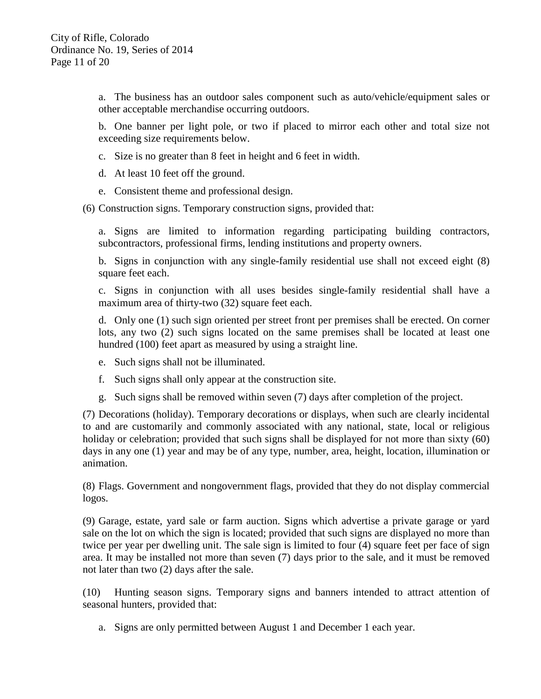a. The business has an outdoor sales component such as auto/vehicle/equipment sales or other acceptable merchandise occurring outdoors.

b. One banner per light pole, or two if placed to mirror each other and total size not exceeding size requirements below.

- c. Size is no greater than 8 feet in height and 6 feet in width.
- d. At least 10 feet off the ground.
- e. Consistent theme and professional design.

(6) Construction signs. Temporary construction signs, provided that:

a. Signs are limited to information regarding participating building contractors, subcontractors, professional firms, lending institutions and property owners.

b. Signs in conjunction with any single-family residential use shall not exceed eight (8) square feet each.

c. Signs in conjunction with all uses besides single-family residential shall have a maximum area of thirty-two (32) square feet each.

d. Only one (1) such sign oriented per street front per premises shall be erected. On corner lots, any two (2) such signs located on the same premises shall be located at least one hundred (100) feet apart as measured by using a straight line.

- e. Such signs shall not be illuminated.
- f. Such signs shall only appear at the construction site.
- g. Such signs shall be removed within seven (7) days after completion of the project.

(7) Decorations (holiday). Temporary decorations or displays, when such are clearly incidental to and are customarily and commonly associated with any national, state, local or religious holiday or celebration; provided that such signs shall be displayed for not more than sixty (60) days in any one (1) year and may be of any type, number, area, height, location, illumination or animation.

(8) Flags. Government and nongovernment flags, provided that they do not display commercial logos.

(9) Garage, estate, yard sale or farm auction. Signs which advertise a private garage or yard sale on the lot on which the sign is located; provided that such signs are displayed no more than twice per year per dwelling unit. The sale sign is limited to four (4) square feet per face of sign area. It may be installed not more than seven (7) days prior to the sale, and it must be removed not later than two (2) days after the sale.

(10) Hunting season signs. Temporary signs and banners intended to attract attention of seasonal hunters, provided that:

a. Signs are only permitted between August 1 and December 1 each year.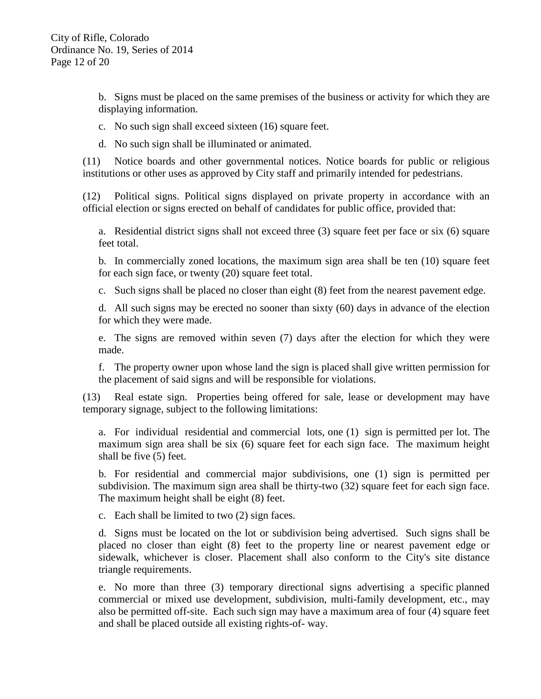b. Signs must be placed on the same premises of the business or activity for which they are displaying information.

- c. No such sign shall exceed sixteen (16) square feet.
- d. No such sign shall be illuminated or animated.

(11) Notice boards and other governmental notices. Notice boards for public or religious institutions or other uses as approved by City staff and primarily intended for pedestrians.

(12) Political signs. Political signs displayed on private property in accordance with an official election or signs erected on behalf of candidates for public office, provided that:

a. Residential district signs shall not exceed three (3) square feet per face or six (6) square feet total.

b. In commercially zoned locations, the maximum sign area shall be ten (10) square feet for each sign face, or twenty (20) square feet total.

c. Such signs shall be placed no closer than eight (8) feet from the nearest pavement edge.

d. All such signs may be erected no sooner than sixty (60) days in advance of the election for which they were made.

e. The signs are removed within seven (7) days after the election for which they were made.

f. The property owner upon whose land the sign is placed shall give written permission for the placement of said signs and will be responsible for violations.

(13) Real estate sign. Properties being offered for sale, lease or development may have temporary signage, subject to the following limitations:

a. For individual residential and commercial lots, one (1) sign is permitted per lot. The maximum sign area shall be six (6) square feet for each sign face. The maximum height shall be five (5) feet.

b. For residential and commercial major subdivisions, one (1) sign is permitted per subdivision. The maximum sign area shall be thirty-two (32) square feet for each sign face. The maximum height shall be eight (8) feet.

c. Each shall be limited to two (2) sign faces.

d. Signs must be located on the lot or subdivision being advertised. Such signs shall be placed no closer than eight (8) feet to the property line or nearest pavement edge or sidewalk, whichever is closer. Placement shall also conform to the City's site distance triangle requirements.

e. No more than three (3) temporary directional signs advertising a specific planned commercial or mixed use development, subdivision, multi-family development, etc., may also be permitted off-site. Each such sign may have a maximum area of four (4) square feet and shall be placed outside all existing rights-of- way.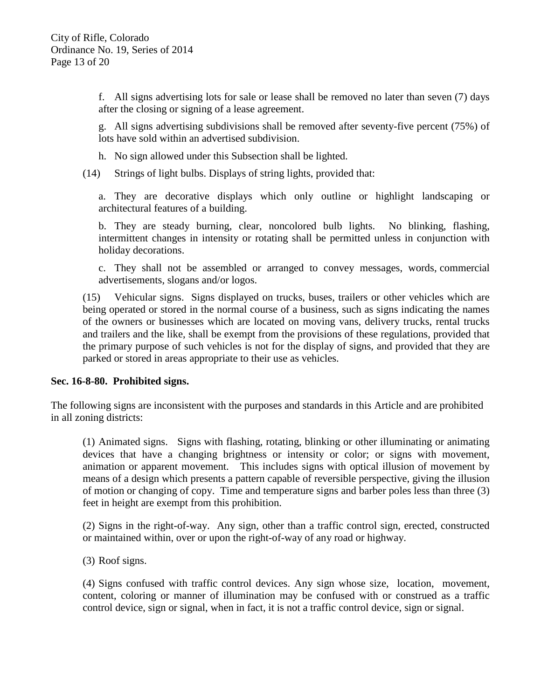f. All signs advertising lots for sale or lease shall be removed no later than seven (7) days after the closing or signing of a lease agreement.

g. All signs advertising subdivisions shall be removed after seventy-five percent (75%) of lots have sold within an advertised subdivision.

h. No sign allowed under this Subsection shall be lighted.

(14) Strings of light bulbs. Displays of string lights, provided that:

a. They are decorative displays which only outline or highlight landscaping or architectural features of a building.

b. They are steady burning, clear, noncolored bulb lights. No blinking, flashing, intermittent changes in intensity or rotating shall be permitted unless in conjunction with holiday decorations.

c. They shall not be assembled or arranged to convey messages, words, commercial advertisements, slogans and/or logos.

(15) Vehicular signs. Signs displayed on trucks, buses, trailers or other vehicles which are being operated or stored in the normal course of a business, such as signs indicating the names of the owners or businesses which are located on moving vans, delivery trucks, rental trucks and trailers and the like, shall be exempt from the provisions of these regulations, provided that the primary purpose of such vehicles is not for the display of signs, and provided that they are parked or stored in areas appropriate to their use as vehicles.

## **Sec. 16-8-80. Prohibited signs.**

The following signs are inconsistent with the purposes and standards in this Article and are prohibited in all zoning districts:

(1) Animated signs. Signs with flashing, rotating, blinking or other illuminating or animating devices that have a changing brightness or intensity or color; or signs with movement, animation or apparent movement. This includes signs with optical illusion of movement by means of a design which presents a pattern capable of reversible perspective, giving the illusion of motion or changing of copy. Time and temperature signs and barber poles less than three (3) feet in height are exempt from this prohibition.

(2) Signs in the right-of-way. Any sign, other than a traffic control sign, erected, constructed or maintained within, over or upon the right-of-way of any road or highway.

(3) Roof signs.

(4) Signs confused with traffic control devices. Any sign whose size, location, movement, content, coloring or manner of illumination may be confused with or construed as a traffic control device, sign or signal, when in fact, it is not a traffic control device, sign or signal.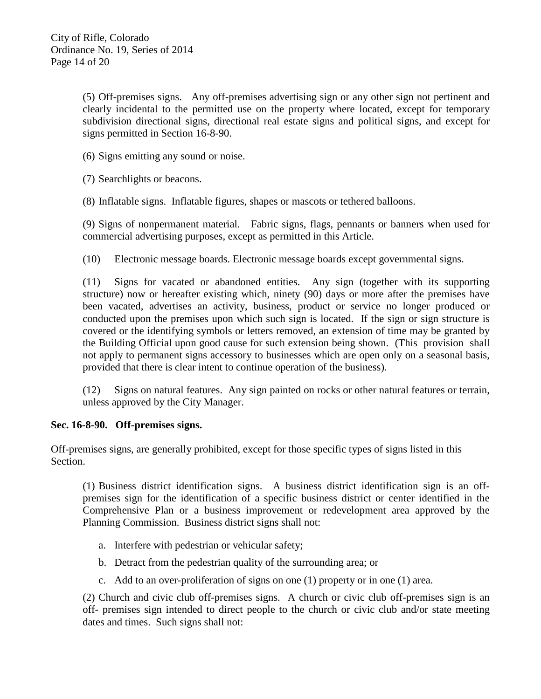(5) Off-premises signs. Any off-premises advertising sign or any other sign not pertinent and clearly incidental to the permitted use on the property where located, except for temporary subdivision directional signs, directional real estate signs and political signs, and except for signs permitted in Section 16-8-90.

(6) Signs emitting any sound or noise.

(7) Searchlights or beacons.

(8) Inflatable signs. Inflatable figures, shapes or mascots or tethered balloons.

(9) Signs of nonpermanent material. Fabric signs, flags, pennants or banners when used for commercial advertising purposes, except as permitted in this Article.

(10) Electronic message boards. Electronic message boards except governmental signs.

(11) Signs for vacated or abandoned entities. Any sign (together with its supporting structure) now or hereafter existing which, ninety (90) days or more after the premises have been vacated, advertises an activity, business, product or service no longer produced or conducted upon the premises upon which such sign is located. If the sign or sign structure is covered or the identifying symbols or letters removed, an extension of time may be granted by the Building Official upon good cause for such extension being shown. (This provision shall not apply to permanent signs accessory to businesses which are open only on a seasonal basis, provided that there is clear intent to continue operation of the business).

(12) Signs on natural features. Any sign painted on rocks or other natural features or terrain, unless approved by the City Manager.

## **Sec. 16-8-90. Off-premises signs.**

Off-premises signs, are generally prohibited, except for those specific types of signs listed in this Section.

(1) Business district identification signs. A business district identification sign is an offpremises sign for the identification of a specific business district or center identified in the Comprehensive Plan or a business improvement or redevelopment area approved by the Planning Commission. Business district signs shall not:

- a. Interfere with pedestrian or vehicular safety;
- b. Detract from the pedestrian quality of the surrounding area; or
- c. Add to an over-proliferation of signs on one (1) property or in one (1) area.

(2) Church and civic club off-premises signs. A church or civic club off-premises sign is an off- premises sign intended to direct people to the church or civic club and/or state meeting dates and times. Such signs shall not: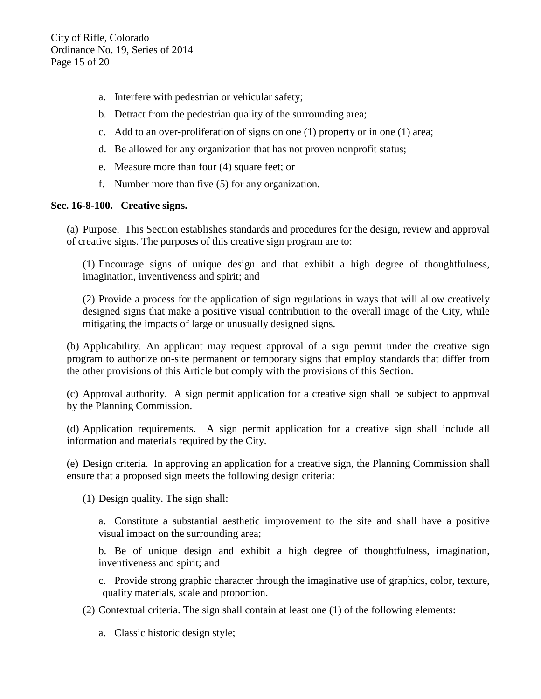- a. Interfere with pedestrian or vehicular safety;
- b. Detract from the pedestrian quality of the surrounding area;
- c. Add to an over-proliferation of signs on one (1) property or in one (1) area;
- d. Be allowed for any organization that has not proven nonprofit status;
- e. Measure more than four (4) square feet; or
- f. Number more than five (5) for any organization.

## **Sec. 16-8-100. Creative signs.**

(a) Purpose. This Section establishes standards and procedures for the design, review and approval of creative signs. The purposes of this creative sign program are to:

(1) Encourage signs of unique design and that exhibit a high degree of thoughtfulness, imagination, inventiveness and spirit; and

(2) Provide a process for the application of sign regulations in ways that will allow creatively designed signs that make a positive visual contribution to the overall image of the City, while mitigating the impacts of large or unusually designed signs.

(b) Applicability. An applicant may request approval of a sign permit under the creative sign program to authorize on-site permanent or temporary signs that employ standards that differ from the other provisions of this Article but comply with the provisions of this Section.

(c) Approval authority. A sign permit application for a creative sign shall be subject to approval by the Planning Commission.

(d) Application requirements. A sign permit application for a creative sign shall include all information and materials required by the City.

(e) Design criteria. In approving an application for a creative sign, the Planning Commission shall ensure that a proposed sign meets the following design criteria:

(1) Design quality. The sign shall:

a. Constitute a substantial aesthetic improvement to the site and shall have a positive visual impact on the surrounding area;

b. Be of unique design and exhibit a high degree of thoughtfulness, imagination, inventiveness and spirit; and

c. Provide strong graphic character through the imaginative use of graphics, color, texture, quality materials, scale and proportion.

(2) Contextual criteria. The sign shall contain at least one (1) of the following elements:

a. Classic historic design style;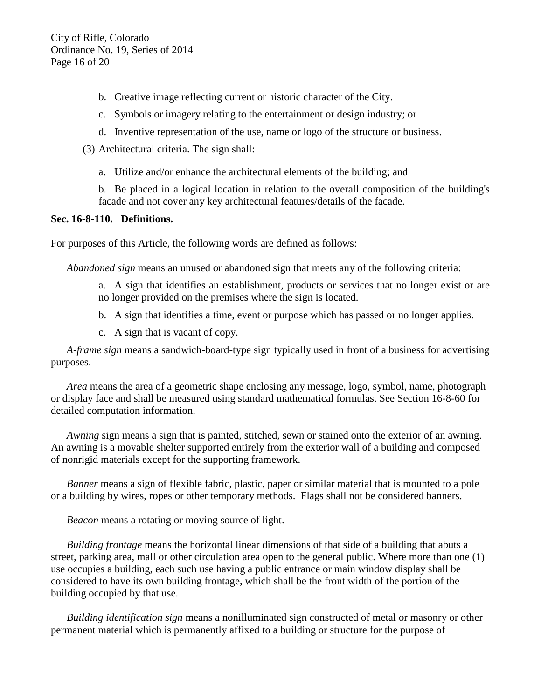- b. Creative image reflecting current or historic character of the City.
- c. Symbols or imagery relating to the entertainment or design industry; or
- d. Inventive representation of the use, name or logo of the structure or business.
- (3) Architectural criteria. The sign shall:
	- a. Utilize and/or enhance the architectural elements of the building; and

b. Be placed in a logical location in relation to the overall composition of the building's facade and not cover any key architectural features/details of the facade.

## **Sec. 16-8-110. Definitions.**

For purposes of this Article, the following words are defined as follows:

*Abandoned sign* means an unused or abandoned sign that meets any of the following criteria:

- a. A sign that identifies an establishment, products or services that no longer exist or are no longer provided on the premises where the sign is located.
- b. A sign that identifies a time, event or purpose which has passed or no longer applies.
- c. A sign that is vacant of copy.

*A-frame sign* means a sandwich-board-type sign typically used in front of a business for advertising purposes.

*Area* means the area of a geometric shape enclosing any message, logo, symbol, name, photograph or display face and shall be measured using standard mathematical formulas. See Section 16-8-60 for detailed computation information.

*Awning* sign means a sign that is painted, stitched, sewn or stained onto the exterior of an awning. An awning is a movable shelter supported entirely from the exterior wall of a building and composed of nonrigid materials except for the supporting framework.

*Banner* means a sign of flexible fabric, plastic, paper or similar material that is mounted to a pole or a building by wires, ropes or other temporary methods. Flags shall not be considered banners.

*Beacon* means a rotating or moving source of light.

*Building frontage* means the horizontal linear dimensions of that side of a building that abuts a street, parking area, mall or other circulation area open to the general public. Where more than one (1) use occupies a building, each such use having a public entrance or main window display shall be considered to have its own building frontage, which shall be the front width of the portion of the building occupied by that use.

*Building identification sign* means a nonilluminated sign constructed of metal or masonry or other permanent material which is permanently affixed to a building or structure for the purpose of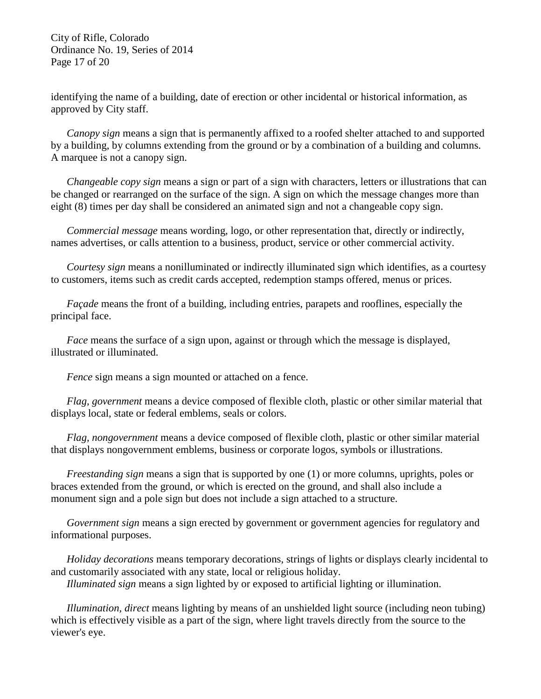City of Rifle, Colorado Ordinance No. 19, Series of 2014 Page 17 of 20

identifying the name of a building, date of erection or other incidental or historical information, as approved by City staff.

*Canopy sign* means a sign that is permanently affixed to a roofed shelter attached to and supported by a building, by columns extending from the ground or by a combination of a building and columns. A marquee is not a canopy sign.

*Changeable copy sign* means a sign or part of a sign with characters, letters or illustrations that can be changed or rearranged on the surface of the sign. A sign on which the message changes more than eight (8) times per day shall be considered an animated sign and not a changeable copy sign.

*Commercial message* means wording, logo, or other representation that, directly or indirectly, names advertises, or calls attention to a business, product, service or other commercial activity.

*Courtesy sign* means a nonilluminated or indirectly illuminated sign which identifies, as a courtesy to customers, items such as credit cards accepted, redemption stamps offered, menus or prices.

*Façade* means the front of a building, including entries, parapets and rooflines, especially the principal face.

*Face* means the surface of a sign upon, against or through which the message is displayed, illustrated or illuminated.

*Fence* sign means a sign mounted or attached on a fence.

*Flag, government* means a device composed of flexible cloth, plastic or other similar material that displays local, state or federal emblems, seals or colors.

*Flag, nongovernment* means a device composed of flexible cloth, plastic or other similar material that displays nongovernment emblems, business or corporate logos, symbols or illustrations.

*Freestanding sign* means a sign that is supported by one (1) or more columns, uprights, poles or braces extended from the ground, or which is erected on the ground, and shall also include a monument sign and a pole sign but does not include a sign attached to a structure.

*Government sign* means a sign erected by government or government agencies for regulatory and informational purposes.

*Holiday decorations* means temporary decorations, strings of lights or displays clearly incidental to and customarily associated with any state, local or religious holiday.

*Illuminated sign* means a sign lighted by or exposed to artificial lighting or illumination.

*Illumination, direct* means lighting by means of an unshielded light source (including neon tubing) which is effectively visible as a part of the sign, where light travels directly from the source to the viewer's eye.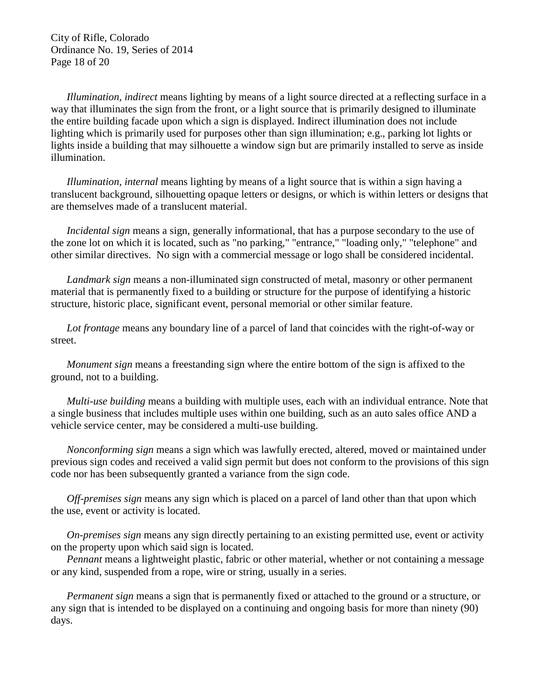City of Rifle, Colorado Ordinance No. 19, Series of 2014 Page 18 of 20

*Illumination, indirect* means lighting by means of a light source directed at a reflecting surface in a way that illuminates the sign from the front, or a light source that is primarily designed to illuminate the entire building facade upon which a sign is displayed. Indirect illumination does not include lighting which is primarily used for purposes other than sign illumination; e.g., parking lot lights or lights inside a building that may silhouette a window sign but are primarily installed to serve as inside illumination.

*Illumination, internal* means lighting by means of a light source that is within a sign having a translucent background, silhouetting opaque letters or designs, or which is within letters or designs that are themselves made of a translucent material.

*Incidental sign* means a sign, generally informational, that has a purpose secondary to the use of the zone lot on which it is located, such as "no parking," "entrance," "loading only," "telephone" and other similar directives. No sign with a commercial message or logo shall be considered incidental.

*Landmark sign* means a non-illuminated sign constructed of metal, masonry or other permanent material that is permanently fixed to a building or structure for the purpose of identifying a historic structure, historic place, significant event, personal memorial or other similar feature.

*Lot frontage* means any boundary line of a parcel of land that coincides with the right-of-way or street.

*Monument sign* means a freestanding sign where the entire bottom of the sign is affixed to the ground, not to a building.

*Multi-use building* means a building with multiple uses, each with an individual entrance. Note that a single business that includes multiple uses within one building, such as an auto sales office AND a vehicle service center, may be considered a multi-use building.

*Nonconforming sign* means a sign which was lawfully erected, altered, moved or maintained under previous sign codes and received a valid sign permit but does not conform to the provisions of this sign code nor has been subsequently granted a variance from the sign code.

*Off-premises sign* means any sign which is placed on a parcel of land other than that upon which the use, event or activity is located.

*On-premises sign* means any sign directly pertaining to an existing permitted use, event or activity on the property upon which said sign is located.

*Pennant* means a lightweight plastic, fabric or other material, whether or not containing a message or any kind, suspended from a rope, wire or string, usually in a series.

*Permanent sign* means a sign that is permanently fixed or attached to the ground or a structure, or any sign that is intended to be displayed on a continuing and ongoing basis for more than ninety (90) days.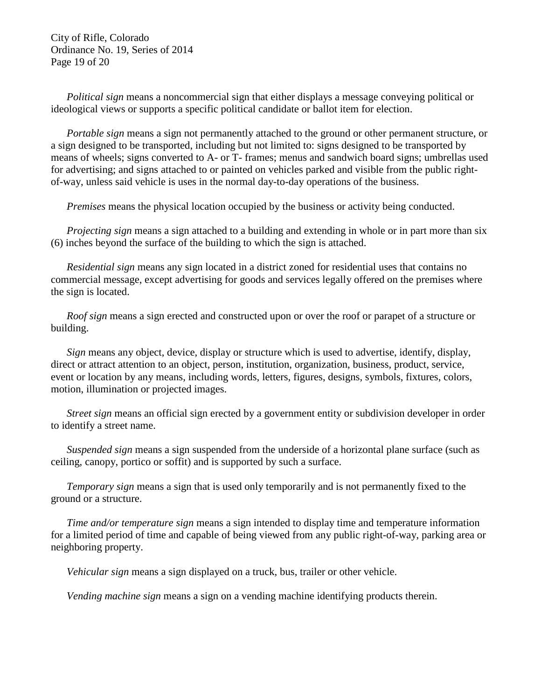City of Rifle, Colorado Ordinance No. 19, Series of 2014 Page 19 of 20

*Political sign* means a noncommercial sign that either displays a message conveying political or ideological views or supports a specific political candidate or ballot item for election.

*Portable sign* means a sign not permanently attached to the ground or other permanent structure, or a sign designed to be transported, including but not limited to: signs designed to be transported by means of wheels; signs converted to A- or T- frames; menus and sandwich board signs; umbrellas used for advertising; and signs attached to or painted on vehicles parked and visible from the public rightof-way, unless said vehicle is uses in the normal day-to-day operations of the business.

*Premises* means the physical location occupied by the business or activity being conducted.

*Projecting sign* means a sign attached to a building and extending in whole or in part more than six (6) inches beyond the surface of the building to which the sign is attached.

*Residential sign* means any sign located in a district zoned for residential uses that contains no commercial message, except advertising for goods and services legally offered on the premises where the sign is located.

*Roof sign* means a sign erected and constructed upon or over the roof or parapet of a structure or building.

*Sign* means any object, device, display or structure which is used to advertise, identify, display, direct or attract attention to an object, person, institution, organization, business, product, service, event or location by any means, including words, letters, figures, designs, symbols, fixtures, colors, motion, illumination or projected images.

*Street sign* means an official sign erected by a government entity or subdivision developer in order to identify a street name.

*Suspended sign* means a sign suspended from the underside of a horizontal plane surface (such as ceiling, canopy, portico or soffit) and is supported by such a surface.

*Temporary sign* means a sign that is used only temporarily and is not permanently fixed to the ground or a structure.

*Time and/or temperature sign* means a sign intended to display time and temperature information for a limited period of time and capable of being viewed from any public right-of-way, parking area or neighboring property.

*Vehicular sign* means a sign displayed on a truck, bus, trailer or other vehicle.

*Vending machine sign* means a sign on a vending machine identifying products therein.